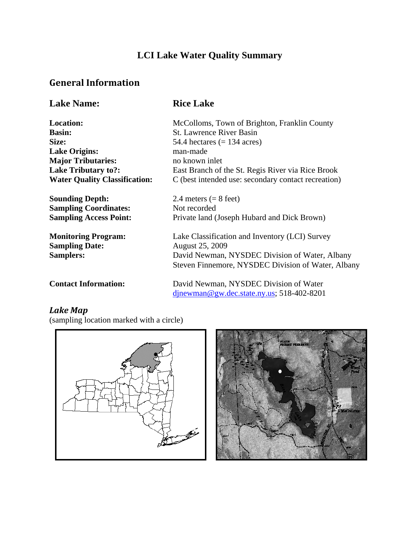# **LCI Lake Water Quality Summary**

### **General Information**

| <b>Lake Name:</b>                    | <b>Rice Lake</b>                                    |
|--------------------------------------|-----------------------------------------------------|
| <b>Location:</b>                     | McColloms, Town of Brighton, Franklin County        |
| <b>Basin:</b>                        | <b>St. Lawrence River Basin</b>                     |
| Size:                                | 54.4 hectares $(= 134 \text{ acres})$               |
| <b>Lake Origins:</b>                 | man-made                                            |
| <b>Major Tributaries:</b>            | no known inlet                                      |
| <b>Lake Tributary to?:</b>           | East Branch of the St. Regis River via Rice Brook   |
| <b>Water Quality Classification:</b> | C (best intended use: secondary contact recreation) |
| <b>Sounding Depth:</b>               | 2.4 meters $(= 8$ feet)                             |
| <b>Sampling Coordinates:</b>         | Not recorded                                        |
| <b>Sampling Access Point:</b>        | Private land (Joseph Hubard and Dick Brown)         |
| <b>Monitoring Program:</b>           | Lake Classification and Inventory (LCI) Survey      |
| <b>Sampling Date:</b>                | <b>August 25, 2009</b>                              |
| <b>Samplers:</b>                     | David Newman, NYSDEC Division of Water, Albany      |
|                                      | Steven Finnemore, NYSDEC Division of Water, Albany  |
| <b>Contact Information:</b>          | David Newman, NYSDEC Division of Water              |
|                                      | $d$ jnewman@gw.dec.state.ny.us; 518-402-8201        |

# *Lake Map*

(sampling location marked with a circle)



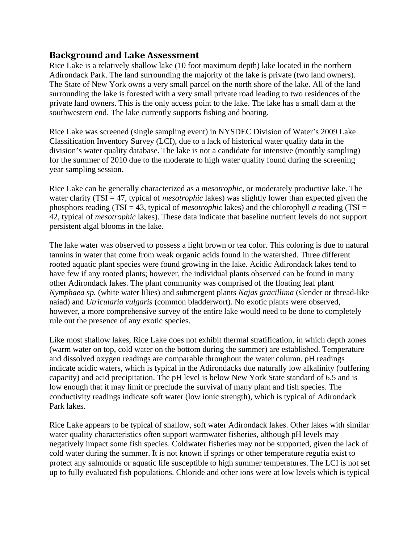#### **Background and Lake Assessment**

Rice Lake is a relatively shallow lake (10 foot maximum depth) lake located in the northern Adirondack Park. The land surrounding the majority of the lake is private (two land owners). The State of New York owns a very small parcel on the north shore of the lake. All of the land surrounding the lake is forested with a very small private road leading to two residences of the private land owners. This is the only access point to the lake. The lake has a small dam at the southwestern end. The lake currently supports fishing and boating.

Rice Lake was screened (single sampling event) in NYSDEC Division of Water's 2009 Lake Classification Inventory Survey (LCI), due to a lack of historical water quality data in the division's water quality database. The lake is not a candidate for intensive (monthly sampling) for the summer of 2010 due to the moderate to high water quality found during the screening year sampling session.

Rice Lake can be generally characterized as a *mesotrophic*, or moderately productive lake. The water clarity (TSI = 47, typical of *mesotrophic* lakes) was slightly lower than expected given the phosphors reading (TSI = 43, typical of *mesotrophic* lakes) and the chlorophyll *a* reading (TSI = 42, typical of *mesotrophic* lakes). These data indicate that baseline nutrient levels do not support persistent algal blooms in the lake.

The lake water was observed to possess a light brown or tea color. This coloring is due to natural tannins in water that come from weak organic acids found in the watershed. Three different rooted aquatic plant species were found growing in the lake. Acidic Adirondack lakes tend to have few if any rooted plants; however, the individual plants observed can be found in many other Adirondack lakes. The plant community was comprised of the floating leaf plant *Nymphaea sp.* (white water lilies) and submergent plants *Najas gracillima* (slender or thread-like naiad) and *Utricularia vulgaris* (common bladderwort). No exotic plants were observed, however, a more comprehensive survey of the entire lake would need to be done to completely rule out the presence of any exotic species.

Like most shallow lakes, Rice Lake does not exhibit thermal stratification, in which depth zones (warm water on top, cold water on the bottom during the summer) are established. Temperature and dissolved oxygen readings are comparable throughout the water column. pH readings indicate acidic waters, which is typical in the Adirondacks due naturally low alkalinity (buffering capacity) and acid precipitation. The pH level is below New York State standard of 6.5 and is low enough that it may limit or preclude the survival of many plant and fish species. The conductivity readings indicate soft water (low ionic strength), which is typical of Adirondack Park lakes.

Rice Lake appears to be typical of shallow, soft water Adirondack lakes. Other lakes with similar water quality characteristics often support warmwater fisheries, although pH levels may negatively impact some fish species. Coldwater fisheries may not be supported, given the lack of cold water during the summer. It is not known if springs or other temperature regufia exist to protect any salmonids or aquatic life susceptible to high summer temperatures. The LCI is not set up to fully evaluated fish populations. Chloride and other ions were at low levels which is typical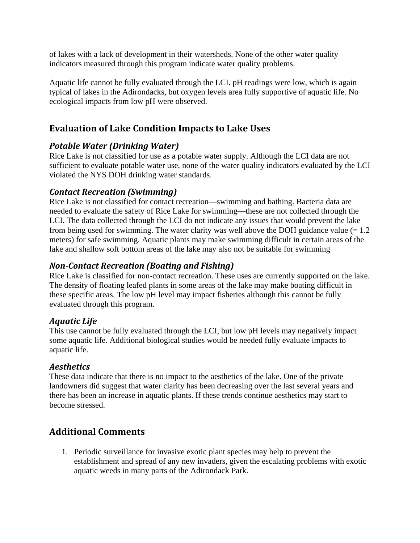of lakes with a lack of development in their watersheds. None of the other water quality indicators measured through this program indicate water quality problems.

Aquatic life cannot be fully evaluated through the LCI. pH readings were low, which is again typical of lakes in the Adirondacks, but oxygen levels area fully supportive of aquatic life. No ecological impacts from low pH were observed.

### **Evaluation of Lake Condition Impacts to Lake Uses**

#### *Potable Water (Drinking Water)*

Rice Lake is not classified for use as a potable water supply. Although the LCI data are not sufficient to evaluate potable water use, none of the water quality indicators evaluated by the LCI violated the NYS DOH drinking water standards.

#### *Contact Recreation (Swimming)*

Rice Lake is not classified for contact recreation—swimming and bathing. Bacteria data are needed to evaluate the safety of Rice Lake for swimming—these are not collected through the LCI. The data collected through the LCI do not indicate any issues that would prevent the lake from being used for swimming. The water clarity was well above the DOH guidance value  $(= 1.2)$ meters) for safe swimming. Aquatic plants may make swimming difficult in certain areas of the lake and shallow soft bottom areas of the lake may also not be suitable for swimming

### *NonContact Recreation (Boating and Fishing)*

Rice Lake is classified for non-contact recreation. These uses are currently supported on the lake. The density of floating leafed plants in some areas of the lake may make boating difficult in these specific areas. The low pH level may impact fisheries although this cannot be fully evaluated through this program.

#### *Aquatic Life*

This use cannot be fully evaluated through the LCI, but low pH levels may negatively impact some aquatic life. Additional biological studies would be needed fully evaluate impacts to aquatic life.

### *Aesthetics*

These data indicate that there is no impact to the aesthetics of the lake. One of the private landowners did suggest that water clarity has been decreasing over the last several years and there has been an increase in aquatic plants. If these trends continue aesthetics may start to become stressed.

### **Additional Comments**

1. Periodic surveillance for invasive exotic plant species may help to prevent the establishment and spread of any new invaders, given the escalating problems with exotic aquatic weeds in many parts of the Adirondack Park.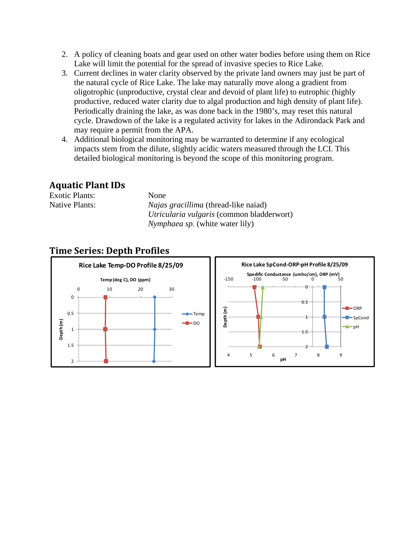- 2. A policy of cleaning boats and gear used on other water bodies before using them on Rice Lake will limit the potential for the spread of invasive species to Rice Lake.
- 3. Current declines in water clarity observed by the private land owners may just be part of the natural cycle of Rice Lake. The lake may naturally move along a gradient from oligotrophic (unproductive, crystal clear and devoid of plant life) to eutrophic (highly productive, reduced water clarity due to algal production and high density of plant life). Periodically draining the lake, as was done back in the 1980's, may reset this natural cycle. Drawdown of the lake is a regulated activity for lakes in the Adirondack Park and may require a permit from the APA.
- 4. Additional biological monitoring may be warranted to determine if any ecological impacts stem from the dilute, slightly acidic waters measured through the LCI. This detailed biological monitoring is beyond the scope of this monitoring program.

#### **Aquatic Plant IDs**

| <b>Exotic Plants:</b> | <b>None</b>                                 |
|-----------------------|---------------------------------------------|
| Native Plants:        | <i>Najas gracillima</i> (thread-like naiad) |
|                       | Utricularia vulgaris (common bladderwort)   |
|                       | <i>Nymphaea sp.</i> (white water lily)      |

### **Time Series: Depth Profiles**

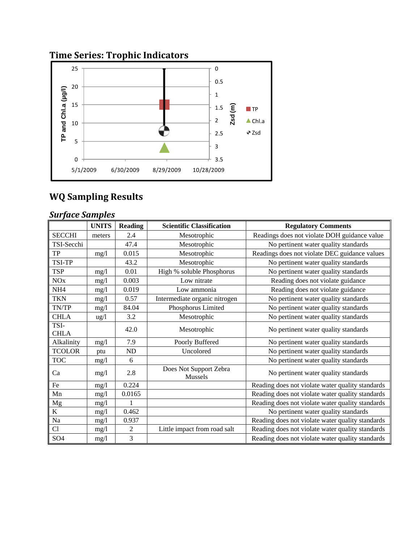# **Time Series: Trophic Indicators**



# **WQ Sampling Results**

## *Surface Samples*

|                     | <b>UNITS</b>    | <b>Reading</b> | <b>Scientific Classification</b>  | <b>Regulatory Comments</b>                       |
|---------------------|-----------------|----------------|-----------------------------------|--------------------------------------------------|
| <b>SECCHI</b>       | meters          | 2.4            | Mesotrophic                       | Readings does not violate DOH guidance value     |
| TSI-Secchi          |                 | 47.4           | Mesotrophic                       | No pertinent water quality standards             |
| TP                  | mg/l            | 0.015          | Mesotrophic                       | Readings does not violate DEC guidance values    |
| <b>TSI-TP</b>       |                 | 43.2           | Mesotrophic                       | No pertinent water quality standards             |
| <b>TSP</b>          | mg/1            | 0.01           | High % soluble Phosphorus         | No pertinent water quality standards             |
| NOx                 | mg/1            | 0.003          | Low nitrate                       | Reading does not violate guidance                |
| NH <sub>4</sub>     | mg/1            | 0.019          | Low ammonia                       | Reading does not violate guidance                |
| <b>TKN</b>          | mg/1            | 0.57           | Intermediate organic nitrogen     | No pertinent water quality standards             |
| TN/TP               | mg/1            | 84.04          | Phosphorus Limited                | No pertinent water quality standards             |
| <b>CHLA</b>         | $\frac{u g}{l}$ | 3.2            | Mesotrophic                       | No pertinent water quality standards             |
| TSI-<br><b>CHLA</b> |                 | 42.0           | Mesotrophic                       | No pertinent water quality standards             |
| Alkalinity          | mg/l            | 7.9            | Poorly Buffered                   | No pertinent water quality standards             |
| <b>TCOLOR</b>       | ptu             | ND             | Uncolored                         | No pertinent water quality standards             |
| <b>TOC</b>          | mg/l            | 6              |                                   | No pertinent water quality standards             |
| Ca                  | mg/l            | 2.8            | Does Not Support Zebra<br>Mussels | No pertinent water quality standards             |
| Fe                  | mg/l            | 0.224          |                                   | Reading does not violate water quality standards |
| Mn                  | mg/1            | 0.0165         |                                   | Reading does not violate water quality standards |
| Mg                  | mg/1            |                |                                   | Reading does not violate water quality standards |
| $\bf K$             | mg/1            | 0.462          |                                   | No pertinent water quality standards             |
| Na                  | mg/1            | 0.937          |                                   | Reading does not violate water quality standards |
| Cl                  | mg/l            | $\overline{c}$ | Little impact from road salt      | Reading does not violate water quality standards |
| SO <sub>4</sub>     | mg/1            | 3              |                                   | Reading does not violate water quality standards |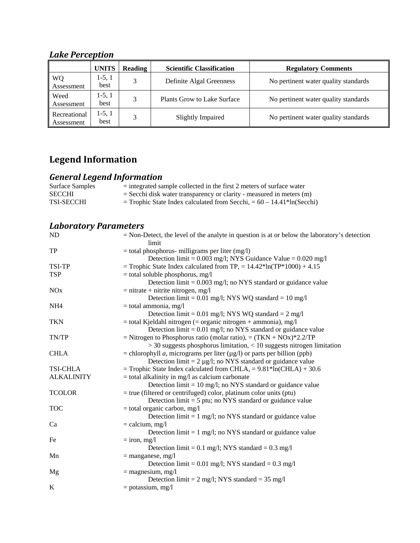# *Lake Perception*

|                            | <b>UNITS</b>     | Reading | <b>Scientific Classification</b> | <b>Regulatory Comments</b>           |
|----------------------------|------------------|---------|----------------------------------|--------------------------------------|
| WQ<br>Assessment           | $1-5, 1$<br>best | 2       | Definite Algal Greenness         | No pertinent water quality standards |
| Weed<br>Assessment         | 1-5, 1<br>best   | 2       | Plants Grow to Lake Surface      | No pertinent water quality standards |
| Recreational<br>Assessment | $1-5, 1$<br>best |         | <b>Slightly Impaired</b>         | No pertinent water quality standards |

# **Legend Information**

### *General Legend Information*

| Surface Samples   | $=$ integrated sample collected in the first 2 meters of surface water                 |
|-------------------|----------------------------------------------------------------------------------------|
| <b>SECCHI</b>     | $=$ Secchi disk water transparency or clarity - measured in meters (m)                 |
| <b>TSI-SECCHI</b> | $=$ Trophic State Index calculated from Secchi, $= 60 - 14.41$ <sup>*</sup> ln(Secchi) |
|                   |                                                                                        |

## *Laboratory Parameters*

| ND                    | $=$ Non-Detect, the level of the analyte in question is at or below the laboratory's detection |
|-----------------------|------------------------------------------------------------------------------------------------|
|                       | limit                                                                                          |
| <b>TP</b>             | $=$ total phosphorus- milligrams per liter (mg/l)                                              |
|                       | Detection limit = $0.003$ mg/l; NYS Guidance Value = $0.020$ mg/l                              |
| TSI-TP                | = Trophic State Index calculated from TP, = $14.42*ln(TP*1000) + 4.15$                         |
| <b>TSP</b>            | = total soluble phosphorus, mg/l                                                               |
|                       | Detection $\text{limit} = 0.003 \text{ mg/l}$ ; no NYS standard or guidance value              |
| <b>NO<sub>x</sub></b> | $=$ nitrate + nitrite nitrogen, mg/l                                                           |
|                       | Detection limit = $0.01$ mg/l; NYS WQ standard = $10$ mg/l                                     |
| NH <sub>4</sub>       | $=$ total ammonia, mg/l                                                                        |
|                       | Detection limit = 0.01 mg/l; NYS WQ standard = $2 \text{ mg/l}$                                |
| <b>TKN</b>            | $=$ total Kjeldahl nitrogen ( $=$ organic nitrogen $+$ ammonia), mg/l                          |
|                       | Detection $\lim_{t=0}$ = 0.01 mg/l; no NYS standard or guidance value                          |
| TN/TP                 | = Nitrogen to Phosphorus ratio (molar ratio), = $(TKN + NOx)*2.2/TP$                           |
|                       | $>$ 30 suggests phosphorus limitation, $<$ 10 suggests nitrogen limitation                     |
| <b>CHLA</b>           | = chlorophyll <i>a</i> , micrograms per liter ( $\mu$ g/l) or parts per billion (ppb)          |
|                       | Detection limit = $2 \mu g/l$ ; no NYS standard or guidance value                              |
| <b>TSI-CHLA</b>       | = Trophic State Index calculated from CHLA, = $9.81*ln(CHLA) + 30.6$                           |
| <b>ALKALINITY</b>     | $=$ total alkalinity in mg/l as calcium carbonate                                              |
|                       | Detection $\text{limit} = 10 \text{ mg/l}$ ; no NYS standard or guidance value                 |
| <b>TCOLOR</b>         | $=$ true (filtered or centrifuged) color, platinum color units (ptu)                           |
|                       | Detection $\text{limit} = 5 \text{ put}$ ; no NYS standard or guidance value                   |
| <b>TOC</b>            | $=$ total organic carbon, mg/l                                                                 |
|                       | Detection $\lim_{t=1}$ mg/l; no NYS standard or guidance value                                 |
| Ca                    | $=$ calcium, mg/l                                                                              |
|                       | Detection $\text{limit} = 1 \text{ mg/l}$ ; no NYS standard or guidance value                  |
| Fe                    | $=$ iron, mg/l                                                                                 |
|                       | Detection limit = $0.1$ mg/l; NYS standard = $0.3$ mg/l                                        |
| Mn                    | $=$ manganese, mg/l                                                                            |
|                       | Detection limit = $0.01$ mg/l; NYS standard = $0.3$ mg/l                                       |
| Mg                    | $=$ magnesium, mg/l                                                                            |
|                       | Detection limit = $2 \text{ mg/l}$ ; NYS standard = 35 mg/l                                    |
| $\bf K$               | $=$ potassium, mg/l                                                                            |
|                       |                                                                                                |